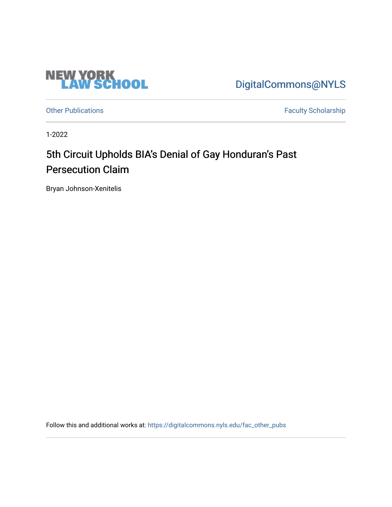

[DigitalCommons@NYLS](https://digitalcommons.nyls.edu/) 

[Other Publications](https://digitalcommons.nyls.edu/fac_other_pubs) **Faculty Scholarship Faculty Scholarship** 

1-2022

# 5th Circuit Upholds BIA's Denial of Gay Honduran's Past Persecution Claim

Bryan Johnson-Xenitelis

Follow this and additional works at: [https://digitalcommons.nyls.edu/fac\\_other\\_pubs](https://digitalcommons.nyls.edu/fac_other_pubs?utm_source=digitalcommons.nyls.edu%2Ffac_other_pubs%2F793&utm_medium=PDF&utm_campaign=PDFCoverPages)